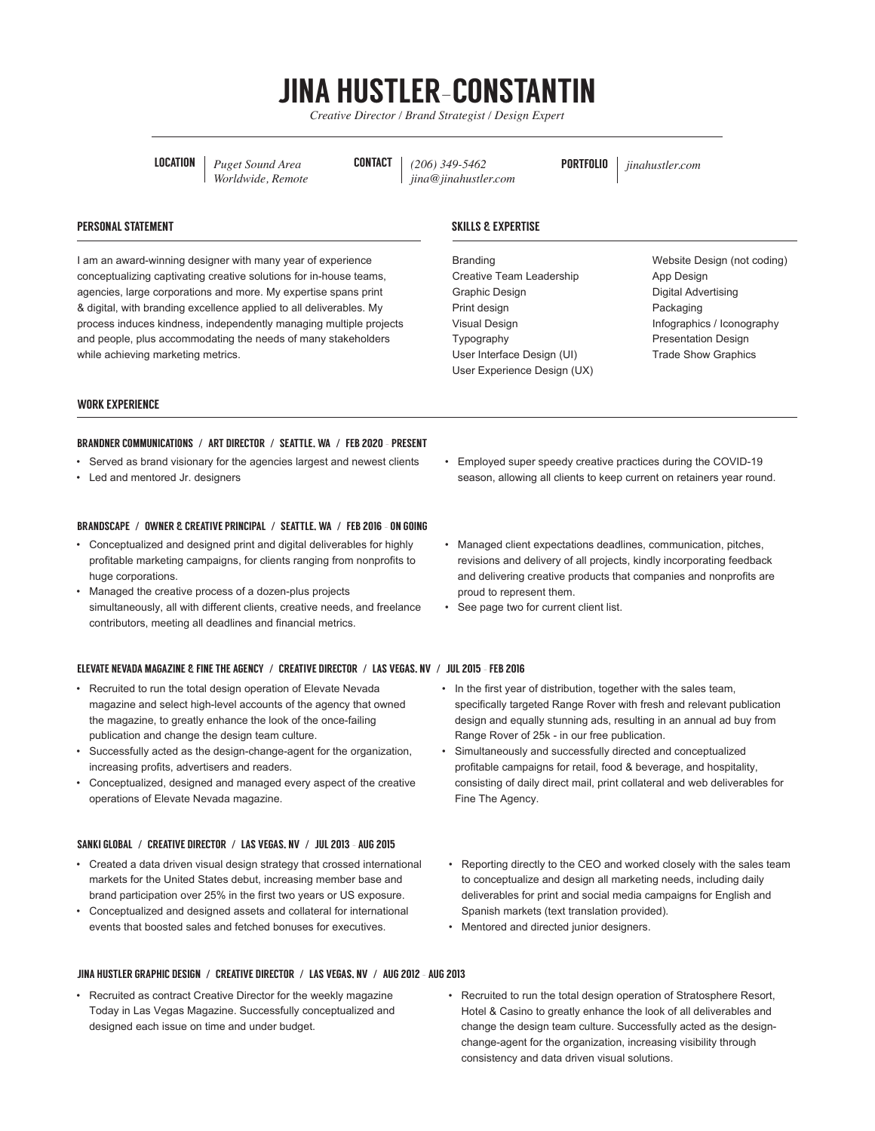# JINA HUSTLER-CONSTANTIN

*Creative Director / Brand Strategist / Design Expert*

LOCATION *Puget Sound Area Worldwide, Remote* CONTACT *(206) 349-5462 jina@jinahustler.com* PORTFOLIO *jinahustler.com*

# PERSONAL STATEMENT

I am an award-winning designer with many year of experience conceptualizing captivating creative solutions for in-house teams, agencies, large corporations and more. My expertise spans print & digital, with branding excellence applied to all deliverables. My process induces kindness, independently managing multiple projects and people, plus accommodating the needs of many stakeholders while achieving marketing metrics.

# SKILLS & EXPERTISE

Branding Creative Team Leadership Graphic Design Print design Visual Design Typography User Interface Design (UI) User Experience Design (UX) Website Design (not coding) App Design Digital Advertising Packaging Infographics / Iconography Presentation Design Trade Show Graphics

## WORK EXPERIENCE

# BRANDNER COMMUNICATIONS **/** ART DIRECTOR **/** SEATTLE, WA **/** FEB 2020 - PRESENT

- Served as brand visionary for the agencies largest and newest clients
- Led and mentored Jr. designers

#### BRANDSCAPE **/** OWNER & CREATIVE PRINCIPAL **/** SEATTLE, WA **/** FEB 2016 - ON GOING

- Conceptualized and designed print and digital deliverables for highly profitable marketing campaigns, for clients ranging from nonprofits to huge corporations.
- Managed the creative process of a dozen-plus projects simultaneously, all with different clients, creative needs, and freelance contributors, meeting all deadlines and financial metrics.

#### ELEVATE NEVADA MAGAZINE & FINE THE AGENCY **/** CREATIVE DIRECTOR **/** LAS VEGAS, NV **/** JUL 2015 – FEB 2016

- Recruited to run the total design operation of Elevate Nevada magazine and select high-level accounts of the agency that owned the magazine, to greatly enhance the look of the once-failing publication and change the design team culture.
- Successfully acted as the design-change-agent for the organization, increasing profits, advertisers and readers.
- Conceptualized, designed and managed every aspect of the creative operations of Elevate Nevada magazine.

#### SANKI GLOBAL **/** CREATIVE DIRECTOR **/** LAS VEGAS, NV **/** JUL 2013 – AUG 2015

- Created a data driven visual design strategy that crossed international markets for the United States debut, increasing member base and brand participation over 25% in the first two years or US exposure.
- Conceptualized and designed assets and collateral for international events that boosted sales and fetched bonuses for executives.

#### JINA HUSTLER GRAPHIC DESIGN **/** CREATIVE DIRECTOR **/** LAS VEGAS, NV **/** AUG 2012 – AUG 2013

Recruited as contract Creative Director for the weekly magazine Today in Las Vegas Magazine. Successfully conceptualized and designed each issue on time and under budget.

- Employed super speedy creative practices during the COVID-19 season, allowing all clients to keep current on retainers year round.
- Managed client expectations deadlines, communication, pitches, revisions and delivery of all projects, kindly incorporating feedback and delivering creative products that companies and nonprofits are proud to represent them.
- See page two for current client list.
- In the first year of distribution, together with the sales team, specifically targeted Range Rover with fresh and relevant publication design and equally stunning ads, resulting in an annual ad buy from Range Rover of 25k - in our free publication.
- Simultaneously and successfully directed and conceptualized profitable campaigns for retail, food & beverage, and hospitality, consisting of daily direct mail, print collateral and web deliverables for Fine The Agency.
- Reporting directly to the CEO and worked closely with the sales team to conceptualize and design all marketing needs, including daily deliverables for print and social media campaigns for English and Spanish markets (text translation provided).
- Mentored and directed junior designers.
- Recruited to run the total design operation of Stratosphere Resort, Hotel & Casino to greatly enhance the look of all deliverables and change the design team culture. Successfully acted as the designchange-agent for the organization, increasing visibility through consistency and data driven visual solutions.